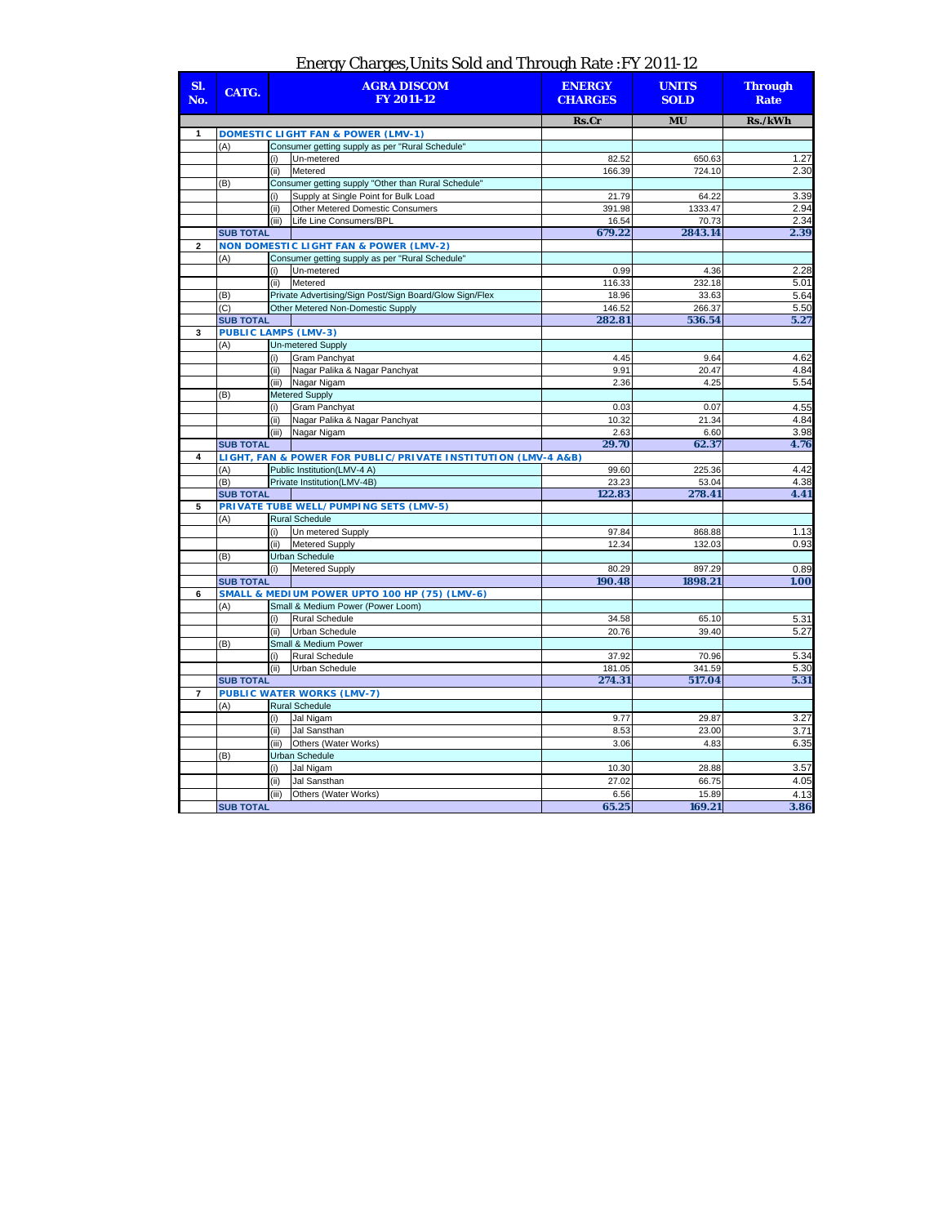## Energy Charges,Units Sold and Through Rate :FY 2011-12

| SI.<br>No.     | CATG.                       | <b>AGRA DISCOM</b><br><b>FY 2011-12</b>       |                                                                                              | <b>ENERGY</b><br><b>CHARGES</b> | <b>UNITS</b><br><b>SOLD</b> | <b>Through</b><br><b>Rate</b> |
|----------------|-----------------------------|-----------------------------------------------|----------------------------------------------------------------------------------------------|---------------------------------|-----------------------------|-------------------------------|
|                |                             |                                               |                                                                                              | Rs.Cr                           | <b>MU</b>                   | Rs./kWh                       |
| 1              |                             |                                               | <b>DOMESTIC LIGHT FAN &amp; POWER (LMV-1)</b>                                                |                                 |                             |                               |
|                | (A)                         |                                               | Consumer getting supply as per "Rural Schedule"                                              |                                 |                             |                               |
|                |                             | (i)                                           | Un-metered                                                                                   | 82.52                           | 650.63                      | 1.27                          |
|                |                             | (ii)                                          | Metered                                                                                      | 166.39                          | 724.10                      | 2.30                          |
|                | (B)                         |                                               | Consumer getting supply "Other than Rural Schedule"                                          |                                 |                             |                               |
|                |                             | (i)<br>(ii)                                   | Supply at Single Point for Bulk Load<br><b>Other Metered Domestic Consumers</b>              | 21.79<br>391.98                 | 64.22<br>1333.47            | 3.39<br>2.94                  |
|                |                             | (iii)                                         | Life Line Consumers/BPL                                                                      | 16.54                           | 70.73                       | 2.34                          |
|                | <b>SUB TOTAL</b>            |                                               |                                                                                              | 679.22                          | 2843.14                     | 2.39                          |
| 2              |                             |                                               | <b>NON DOMESTIC LIGHT FAN &amp; POWER (LMV-2)</b>                                            |                                 |                             |                               |
|                | (A)                         |                                               | Consumer getting supply as per "Rural Schedule"                                              |                                 |                             |                               |
|                |                             | (i)                                           | Un-metered                                                                                   | 0.99                            | 4.36                        | 2.28                          |
|                |                             | (ii)                                          | Metered                                                                                      | 116.33                          | 232.18                      | 5.01                          |
|                | (B)                         |                                               | Private Advertising/Sign Post/Sign Board/Glow Sign/Flex                                      | 18.96                           | 33.63                       | 5.64                          |
|                | (C)                         |                                               | Other Metered Non-Domestic Supply                                                            | 146.52                          | 266.37                      | 5.50                          |
|                | <b>SUB TOTAL</b>            |                                               |                                                                                              | 282.81                          | 536.54                      | 5.27                          |
| 3              | <b>PUBLIC LAMPS (LMV-3)</b> |                                               |                                                                                              |                                 |                             |                               |
|                | (A)                         |                                               | <b>Un-metered Supply</b>                                                                     |                                 |                             |                               |
|                |                             | (i)                                           | <b>Gram Panchyat</b>                                                                         | 4.45                            | 9.64                        | 4.62                          |
|                |                             | (ii)                                          | Nagar Palika & Nagar Panchyat                                                                | 9.91                            | 20.47                       | 4.84                          |
|                |                             |                                               | (iii) Nagar Nigam                                                                            | 2.36                            | 4.25                        | 5.54                          |
|                | (B)                         |                                               | <b>Metered Supply</b>                                                                        |                                 |                             |                               |
|                |                             | (i)                                           | <b>Gram Panchyat</b>                                                                         | 0.03                            | 0.07                        | 4.55                          |
|                |                             | (ii)                                          | Nagar Palika & Nagar Panchyat                                                                | 10.32                           | 21.34                       | 4.84                          |
|                |                             | (iii)                                         | Nagar Nigam                                                                                  | 2.63                            | 6.60                        | 3.98                          |
|                | <b>SUB TOTAL</b>            |                                               |                                                                                              | 29.70                           | 62.37                       | 4.76                          |
| 4              | (A)                         |                                               | LIGHT, FAN & POWER FOR PUBLIC/PRIVATE INSTITUTION (LMV-4 A&B)<br>Public Institution(LMV-4 A) | 99.60                           | 225.36                      | 4.42                          |
|                | (B)                         |                                               | Private Institution(LMV-4B)                                                                  | 23.23                           | 53.04                       | 4.38                          |
|                | <b>SUB TOTAL</b>            |                                               |                                                                                              | 122.83                          | 278.41                      | 4.41                          |
| 5              |                             |                                               | PRIVATE TUBE WELL/PUMPING SETS (LMV-5)                                                       |                                 |                             |                               |
|                | (A)                         |                                               | <b>Rural Schedule</b>                                                                        |                                 |                             |                               |
|                |                             | (i)                                           | Un metered Supply                                                                            | 97.84                           | 868.88                      | 1.13                          |
|                |                             | (ii)                                          | <b>Metered Supply</b>                                                                        | 12.34                           | 132.03                      | 0.93                          |
|                | (B)                         |                                               | <b>Urban Schedule</b>                                                                        |                                 |                             |                               |
|                |                             | (i)                                           | <b>Metered Supply</b>                                                                        | 80.29                           | 897.29                      | 0.89                          |
|                | <b>SUB TOTAL</b>            |                                               |                                                                                              | 190.48                          | 1898.21                     | 1.00                          |
| 6              |                             | SMALL & MEDIUM POWER UPTO 100 HP (75) (LMV-6) |                                                                                              |                                 |                             |                               |
|                | (A)                         |                                               | Small & Medium Power (Power Loom)                                                            |                                 |                             |                               |
|                |                             | (i)                                           | <b>Rural Schedule</b>                                                                        | 34.58                           | 65.10                       | 5.31                          |
|                |                             | (ii)                                          | <b>Urban Schedule</b>                                                                        | 20.76                           | 39.40                       | 5.27                          |
|                | (B)                         |                                               | Small & Medium Power                                                                         |                                 |                             |                               |
|                |                             | (i)                                           | <b>Rural Schedule</b>                                                                        | 37.92                           | 70.96                       | 5.34                          |
|                |                             | (iii)                                         | <b>Urban Schedule</b>                                                                        | 181.05                          | 341.59                      | 5.30                          |
|                | <b>SUB TOTAL</b>            |                                               |                                                                                              | 274.31                          | 517.04                      | 5.31                          |
| $\overline{7}$ |                             |                                               | <b>PUBLIC WATER WORKS (LMV-7)</b>                                                            |                                 |                             |                               |
|                | (A)                         |                                               | <b>Rural Schedule</b>                                                                        |                                 |                             |                               |
|                |                             | (i)                                           | Jal Nigam                                                                                    | 9.77                            | 29.87                       | 3.27                          |
|                |                             | (ii)                                          | Jal Sansthan                                                                                 | 8.53                            | 23.00                       | 3.71                          |
|                |                             | (iii)                                         | Others (Water Works)                                                                         | 3.06                            | 4.83                        | 6.35                          |
|                | (B)                         |                                               | <b>Urban Schedule</b>                                                                        |                                 |                             |                               |
|                |                             | (i)                                           | Jal Nigam                                                                                    | 10.30                           | 28.88                       | 3.57                          |
|                |                             | (ii)                                          | Jal Sansthan                                                                                 | 27.02                           | 66.75                       | 4.05                          |
|                |                             | (iii)                                         | Others (Water Works)                                                                         | 6.56                            | 15.89                       | 4.13                          |
|                | <b>SUB TOTAL</b>            |                                               |                                                                                              | 65.25                           | 169.21                      | 3.86                          |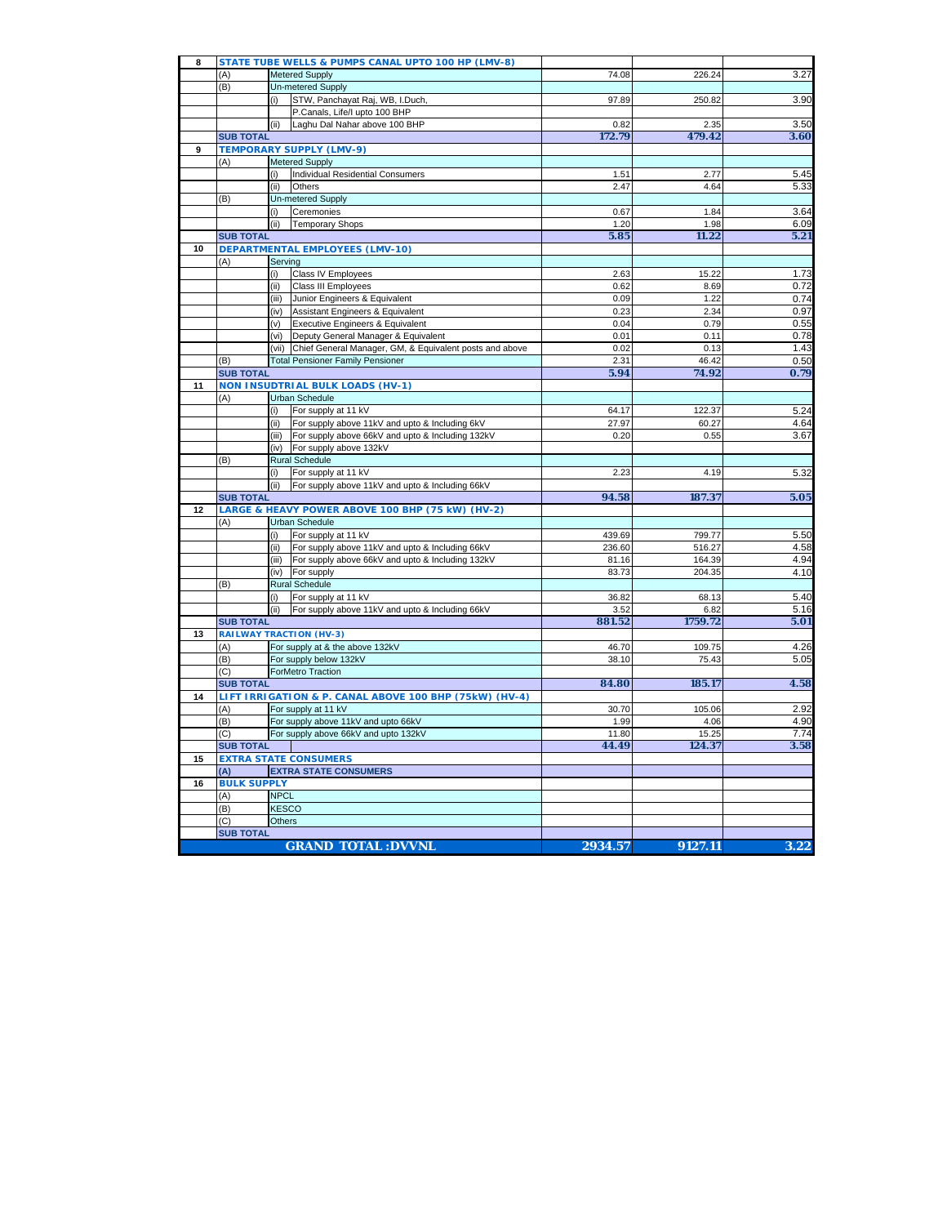| 8  |                         |                                      | STATE TUBE WELLS & PUMPS CANAL UPTO 100 HP (LMV-8)                     |               |                |              |
|----|-------------------------|--------------------------------------|------------------------------------------------------------------------|---------------|----------------|--------------|
|    | (A)                     |                                      | <b>Metered Supply</b>                                                  | 74.08         | 226.24         | 3.27         |
|    | (B)                     |                                      | Un-metered Supply                                                      |               |                |              |
|    |                         | (i)                                  | STW, Panchayat Raj, WB, I.Duch,                                        | 97.89         | 250.82         | 3.90         |
|    |                         |                                      | P.Canals, Life/I upto 100 BHP                                          |               |                |              |
|    |                         | (ii)                                 | Laghu Dal Nahar above 100 BHP                                          | 0.82          | 2.35           | 3.50         |
|    | <b>SUB TOTAL</b>        |                                      |                                                                        | 172.79        | 479.42         | 3.60         |
| 9  |                         |                                      | TEMPORARY SUPPLY (LMV-9)                                               |               |                |              |
|    | (A)                     | (i)                                  | <b>Metered Supply</b><br>Individual Residential Consumers              | 1.51          | 2.77           |              |
|    |                         | (ii)                                 | Others                                                                 | 2.47          | 4.64           | 5.45<br>5.33 |
|    | (B)                     |                                      | Un-metered Supply                                                      |               |                |              |
|    |                         | (i)                                  | Ceremonies                                                             | 0.67          | 1.84           | 3.64         |
|    |                         | (ii)                                 | <b>Temporary Shops</b>                                                 | 1.20          | 1.98           | 6.09         |
|    | <b>SUB TOTAL</b>        |                                      |                                                                        | 5.85          | 11.22          | 5.21         |
| 10 |                         |                                      | <b>DEPARTMENTAL EMPLOYEES (LMV-10)</b>                                 |               |                |              |
|    | (A)                     | Serving                              |                                                                        |               |                |              |
|    |                         | (i)                                  | Class IV Employees                                                     | 2.63          | 15.22          | 1.73         |
|    |                         | (ii)                                 | Class III Employees                                                    | 0.62          | 8.69           | 0.72         |
|    |                         | (iii)                                | Junior Engineers & Equivalent                                          | 0.09          | 1.22           | 0.74         |
|    |                         | (iv)                                 | Assistant Engineers & Equivalent                                       | 0.23          | 2.34           | 0.97         |
|    |                         | (v)                                  | Executive Engineers & Equivalent                                       | 0.04          | 0.79           | 0.55         |
|    |                         | (vi)                                 | Deputy General Manager & Equivalent                                    | 0.01          | 0.11           | 0.78         |
|    |                         | (vii)                                | Chief General Manager, GM, & Equivalent posts and above                | 0.02          | 0.13           | 1.43         |
|    | (B)<br><b>SUB TOTAL</b> |                                      | <b>Total Pensioner Family Pensioner</b>                                | 2.31<br>5.94  | 46.42<br>74.92 | 0.50<br>0.79 |
| 11 |                         |                                      | <b>NON INSUDTRIAL BULK LOADS (HV-1)</b>                                |               |                |              |
|    | (A)                     |                                      | Urban Schedule                                                         |               |                |              |
|    |                         | (i)                                  | For supply at 11 kV                                                    | 64.17         | 122.37         | 5.24         |
|    |                         | (ii)                                 | For supply above 11kV and upto & Including 6kV                         | 27.97         | 60.27          | 4.64         |
|    |                         | (iii)                                | For supply above 66kV and upto & Including 132kV                       | 0.20          | 0.55           | 3.67         |
|    |                         | (iv)                                 | For supply above 132kV                                                 |               |                |              |
|    | (B)                     |                                      | <b>Rural Schedule</b>                                                  |               |                |              |
|    |                         | (i)                                  | For supply at 11 kV                                                    | 2.23          | 4.19           | 5.32         |
|    |                         | (ii)                                 | For supply above 11kV and upto & Including 66kV                        |               |                |              |
|    | <b>SUB TOTAL</b>        |                                      |                                                                        | 94.58         | 187.37         | 5.05         |
| 12 |                         |                                      | LARGE & HEAVY POWER ABOVE 100 BHP (75 kW) (HV-2)                       |               |                |              |
|    | (A)                     |                                      | <b>Urban Schedule</b>                                                  | 439.69        | 799.77         | 5.50         |
|    |                         | (i)<br>(ii)                          | For supply at 11 kV<br>For supply above 11kV and upto & Including 66kV | 236.60        | 516.27         | 4.58         |
|    |                         | (iii)                                | For supply above 66kV and upto & Including 132kV                       | 81.16         | 164.39         | 4.94         |
|    |                         | (iv)                                 | For supply                                                             | 83.73         | 204.35         | 4.10         |
|    | (B)                     |                                      | <b>Rural Schedule</b>                                                  |               |                |              |
|    |                         | (i)                                  | For supply at 11 kV                                                    | 36.82         | 68.13          | 5.40         |
|    |                         | (ii)                                 | For supply above 11kV and upto & Including 66kV                        | 3.52          | 6.82           | 5.16         |
|    | <b>SUB TOTAL</b>        |                                      |                                                                        | 881.52        | 1759.72        | 5.01         |
| 13 |                         | <b>RAILWAY TRACTION (HV-3)</b>       |                                                                        |               |                |              |
|    | (A)                     |                                      | For supply at & the above 132kV                                        | 46.70         | 109.75         | 4.26         |
|    | (B)                     |                                      | For supply below 132kV                                                 | 38.10         | 75.43          | 5.05         |
|    | (C)                     |                                      | <b>ForMetro Traction</b>                                               |               |                |              |
|    | <b>SUB TOTAL</b>        |                                      |                                                                        | 84.80         | 185.17         | 4.58         |
| 14 |                         |                                      | LIFT IRRIGATION & P. CANAL ABOVE 100 BHP (75kW) (HV-4)                 |               |                |              |
|    | (A)                     |                                      | For supply at 11 kV                                                    | 30.70         | 105.06         | 2.92<br>4.90 |
|    | (B)<br>(C)              |                                      | For supply above 11kV and upto 66kV                                    | 1.99<br>11.80 | 4.06<br>15.25  | 7.74         |
|    | <b>SUB TOTAL</b>        | For supply above 66kV and upto 132kV |                                                                        | 44.49         | 124.37         | 3.58         |
| 15 |                         |                                      | <b>EXTRA STATE CONSUMERS</b>                                           |               |                |              |
|    | (A)                     |                                      | <b>EXTRA STATE CONSUMERS</b>                                           |               |                |              |
| 16 | <b>BULK SUPPLY</b>      |                                      |                                                                        |               |                |              |
|    | (A)                     | <b>NPCL</b>                          |                                                                        |               |                |              |
|    | (B)                     | <b>KESCO</b>                         |                                                                        |               |                |              |
|    | (C)                     | Others                               |                                                                        |               |                |              |
|    | <b>SUB TOTAL</b>        |                                      |                                                                        |               |                |              |
|    |                         |                                      | <b>GRAND TOTAL:DVVNL</b>                                               | 2934.57       | 9127.11        | 3.22         |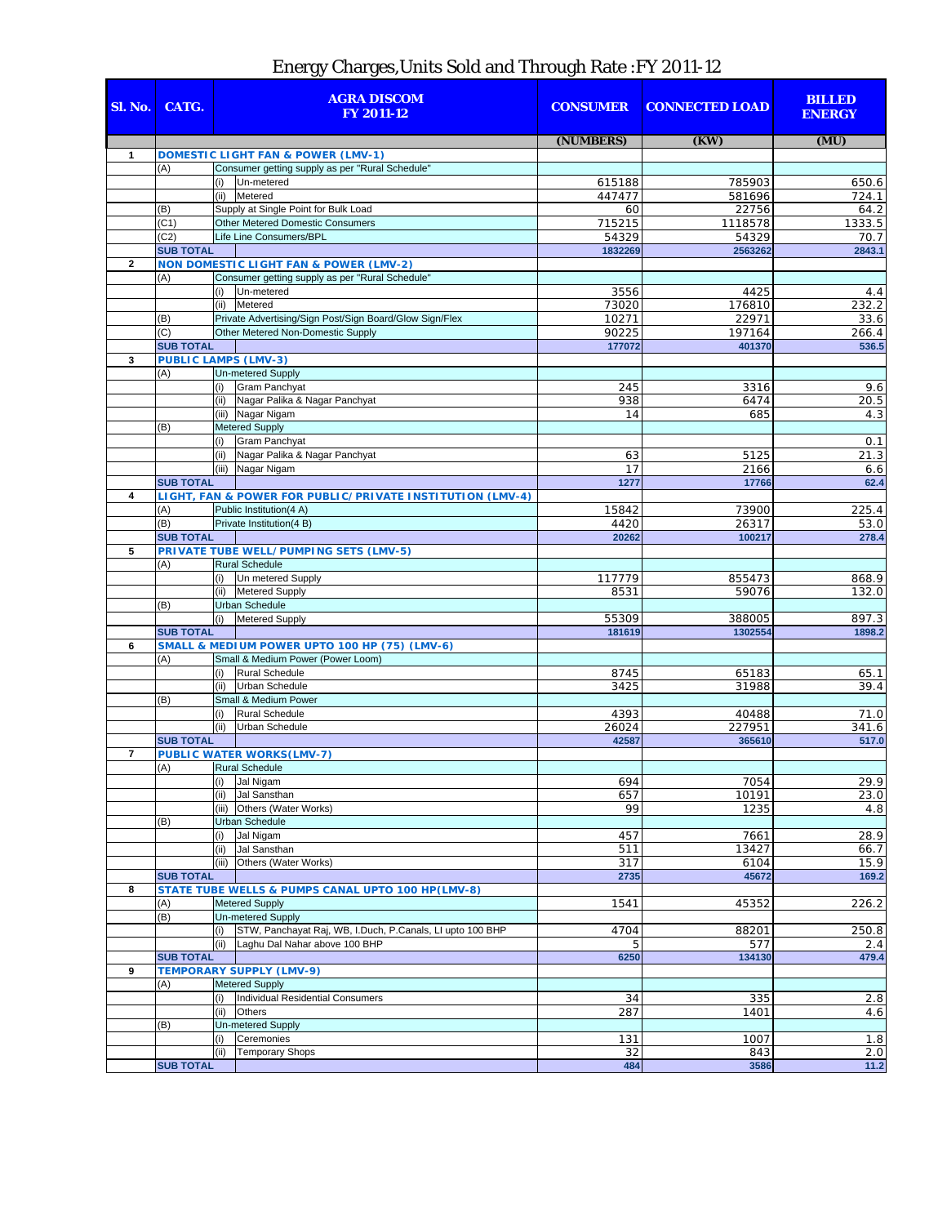## Energy Charges,Units Sold and Through Rate :FY 2011-12

| Sl. No.        | CATG.                           |                       | <b>AGRA DISCOM</b><br><b>FY 2011-12</b>                                         | <b>CONSUMER</b> | <b>CONNECTED LOAD</b> | <b>BILLED</b><br><b>ENERGY</b> |
|----------------|---------------------------------|-----------------------|---------------------------------------------------------------------------------|-----------------|-----------------------|--------------------------------|
|                |                                 |                       |                                                                                 | (NUMBERS)       | (KW)                  | (MU)                           |
| $\mathbf{1}$   |                                 |                       | <b>DOMESTIC LIGHT FAN &amp; POWER (LMV-1)</b>                                   |                 |                       |                                |
|                | (A)                             |                       | Consumer getting supply as per "Rural Schedule"                                 |                 |                       |                                |
|                |                                 | (i)                   | Un-metered                                                                      | 615188          | 785903                | 650.6                          |
|                |                                 |                       | (ii) Metered                                                                    | 447477          | 581696                | 724.1                          |
|                | (B)<br>(C1)                     |                       | Supply at Single Point for Bulk Load<br><b>Other Metered Domestic Consumers</b> | 60<br>715215    | 22756<br>1118578      | 64.2<br>1333.5                 |
|                | (C2)                            |                       | Life Line Consumers/BPL                                                         | 54329           | 54329                 | 70.7                           |
|                | <b>SUB TOTAL</b>                |                       |                                                                                 | 1832269         | 2563262               | 2843.1                         |
| $\mathbf{2}$   |                                 |                       | <b>NON DOMESTIC LIGHT FAN &amp; POWER (LMV-2)</b>                               |                 |                       |                                |
|                | (A)                             |                       | Consumer getting supply as per "Rural Schedule"                                 |                 |                       |                                |
|                |                                 | (i)                   | Un-metered                                                                      | 3556            | 4425                  | 4.4                            |
|                |                                 |                       | (ii) Metered                                                                    | 73020           | 176810                | 232.2                          |
|                | (B)                             |                       | Private Advertising/Sign Post/Sign Board/Glow Sign/Flex                         | 10271           | 22971                 | 33.6                           |
|                | $\overline{C}$                  |                       | Other Metered Non-Domestic Supply                                               | 90225           | 197164                | 266.4                          |
|                | <b>SUB TOTAL</b>                |                       |                                                                                 | 177072          | 401370                | 536.5                          |
| 3              | <b>PUBLIC LAMPS (LMV-3)</b>     |                       |                                                                                 |                 |                       |                                |
|                | (A)                             |                       | <b>Un-metered Supply</b>                                                        |                 |                       |                                |
|                |                                 | (i)                   | <b>Gram Panchyat</b>                                                            | 245             | 3316                  | 9.6                            |
|                |                                 |                       | (ii) Nagar Palika & Nagar Panchyat<br>(iii) Nagar Nigam                         | 938<br>14       | 6474<br>685           | 20.5<br>4.3                    |
|                | (B)                             |                       | Metered Supply                                                                  |                 |                       |                                |
|                |                                 | (i)                   | <b>Gram Panchyat</b>                                                            |                 |                       | 0.1                            |
|                |                                 | (ii)                  | Nagar Palika & Nagar Panchyat                                                   | 63              | 5125                  | 21.3                           |
|                |                                 |                       | (iii) Nagar Nigam                                                               | 17              | 2166                  | 6.6                            |
|                | <b>SUB TOTAL</b>                |                       |                                                                                 | 1277            | 17766                 | 62.4                           |
| 4              |                                 |                       | LIGHT, FAN & POWER FOR PUBLIC/PRIVATE INSTITUTION (LMV-4)                       |                 |                       |                                |
|                | (A)                             |                       | Public Institution(4 A)                                                         | 15842           | 73900                 | 225.4                          |
|                | (B)                             |                       | Private Institution(4 B)                                                        | 4420            | 26317                 | 53.0                           |
|                | <b>SUB TOTAL</b>                |                       |                                                                                 | 20262           | 100217                | 278.4                          |
| 5              |                                 |                       | PRIVATE TUBE WELL/PUMPING SETS (LMV-5)                                          |                 |                       |                                |
|                | (A)                             |                       | <b>Rural Schedule</b>                                                           |                 |                       |                                |
|                |                                 | (i)                   | Un metered Supply                                                               | 117779          | 855473                | 868.9                          |
|                |                                 | (ii)                  | <b>Metered Supply</b>                                                           | 8531            | 59076                 | 132.0                          |
|                | (B)                             |                       | <b>Urban Schedule</b>                                                           |                 |                       |                                |
|                | <b>SUB TOTAL</b>                | (i)                   | <b>Metered Supply</b>                                                           | 55309<br>181619 | 388005<br>1302554     | 897.3<br>1898.2                |
| 6              |                                 |                       | SMALL & MEDIUM POWER UPTO 100 HP (75) (LMV-6)                                   |                 |                       |                                |
|                | (A)                             |                       | Small & Medium Power (Power Loom)                                               |                 |                       |                                |
|                |                                 | (i)                   | Rural Schedule                                                                  | 8745            | 65183                 | 65.1                           |
|                |                                 | (ii)                  | Urban Schedule                                                                  | 3425            | 31988                 | 39.4                           |
|                | (B)                             |                       | Small & Medium Power                                                            |                 |                       |                                |
|                |                                 | (i)                   | <b>Rural Schedule</b>                                                           | 4393            | 40488                 | 71.0                           |
|                |                                 | (ii)                  | <b>Urban Schedule</b>                                                           | 26024           | 227951                | 341.6                          |
|                | <b>SUB TOTAL</b>                |                       |                                                                                 | 42587           | 365610                | 517.0                          |
| $\overline{7}$ |                                 |                       | <b>PUBLIC WATER WORKS(LMV-7)</b>                                                |                 |                       |                                |
|                | (A)                             |                       | <b>Rural Schedule</b>                                                           |                 |                       |                                |
|                |                                 | (i)                   | Jal Nigam                                                                       | 694             | 7054                  | 29.9                           |
|                |                                 |                       | (ii) Jal Sansthan                                                               | 657             | 10191                 | 23.0                           |
|                | (B)                             |                       | (iii) Others (Water Works)<br><b>Urban Schedule</b>                             | 99              | 1235                  | 4.8                            |
|                |                                 | (i)                   | Jal Nigam                                                                       | 457             | 7661                  | 28.9                           |
|                |                                 | (ii)                  | Jal Sansthan                                                                    | 511             | 13427                 | 66.7                           |
|                |                                 |                       | (iii) Others (Water Works)                                                      | 317             | 6104                  | 15.9                           |
|                | <b>SUB TOTAL</b>                |                       |                                                                                 | 2735            | 45672                 | 169.2                          |
| 8              |                                 |                       | STATE TUBE WELLS & PUMPS CANAL UPTO 100 HP(LMV-8)                               |                 |                       |                                |
|                | (A)                             | <b>Metered Supply</b> |                                                                                 | 1541            | 45352                 | 226.2                          |
|                | (B)                             |                       | <b>Un-metered Supply</b>                                                        |                 |                       |                                |
|                |                                 |                       | STW, Panchayat Raj, WB, I.Duch, P.Canals, LI upto 100 BHP                       | 4704            | 88201                 | 250.8                          |
|                |                                 | (ii)                  | Laghu Dal Nahar above 100 BHP                                                   | 5               | 577                   | 2.4                            |
|                | <b>SUB TOTAL</b>                |                       | 6250                                                                            | 134130          | 479.4                 |                                |
| 9              | <b>TEMPORARY SUPPLY (LMV-9)</b> |                       |                                                                                 |                 |                       |                                |
|                | (A)                             |                       | <b>Metered Supply</b>                                                           |                 |                       |                                |
|                |                                 | (i)<br>(ii)           | Individual Residential Consumers<br>Others                                      | 34              | 335                   | 2.8                            |
|                | (B)                             |                       | <b>Un-metered Supply</b>                                                        | 287             | 1401                  | 4.6                            |
|                |                                 | (i)                   | Ceremonies                                                                      | 131             | 1007                  | 1.8                            |
|                |                                 | (ii)                  | <b>Temporary Shops</b>                                                          | 32              | 843                   | 2.0                            |
|                | <b>SUB TOTAL</b>                |                       |                                                                                 | 484             | 3586                  | 11.2                           |